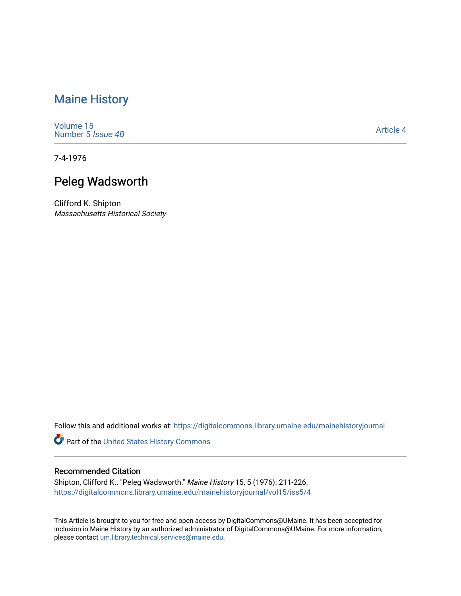# [Maine History](https://digitalcommons.library.umaine.edu/mainehistoryjournal)

[Volume 15](https://digitalcommons.library.umaine.edu/mainehistoryjournal/vol15) [Number 5](https://digitalcommons.library.umaine.edu/mainehistoryjournal/vol15/iss5) Issue 4B

[Article 4](https://digitalcommons.library.umaine.edu/mainehistoryjournal/vol15/iss5/4) 

7-4-1976

# Peleg Wadsworth

Clifford K. Shipton Massachusetts Historical Society

Follow this and additional works at: [https://digitalcommons.library.umaine.edu/mainehistoryjournal](https://digitalcommons.library.umaine.edu/mainehistoryjournal?utm_source=digitalcommons.library.umaine.edu%2Fmainehistoryjournal%2Fvol15%2Fiss5%2F4&utm_medium=PDF&utm_campaign=PDFCoverPages) 

Part of the [United States History Commons](http://network.bepress.com/hgg/discipline/495?utm_source=digitalcommons.library.umaine.edu%2Fmainehistoryjournal%2Fvol15%2Fiss5%2F4&utm_medium=PDF&utm_campaign=PDFCoverPages) 

### Recommended Citation

Shipton, Clifford K.. "Peleg Wadsworth." Maine History 15, 5 (1976): 211-226. [https://digitalcommons.library.umaine.edu/mainehistoryjournal/vol15/iss5/4](https://digitalcommons.library.umaine.edu/mainehistoryjournal/vol15/iss5/4?utm_source=digitalcommons.library.umaine.edu%2Fmainehistoryjournal%2Fvol15%2Fiss5%2F4&utm_medium=PDF&utm_campaign=PDFCoverPages)

This Article is brought to you for free and open access by DigitalCommons@UMaine. It has been accepted for inclusion in Maine History by an authorized administrator of DigitalCommons@UMaine. For more information, please contact [um.library.technical.services@maine.edu.](mailto:um.library.technical.services@maine.edu)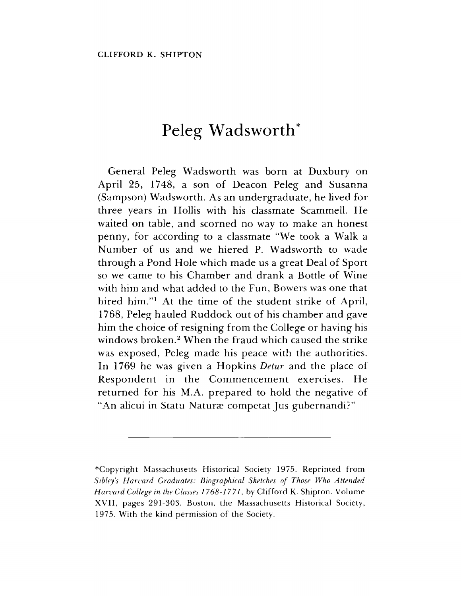# Peleg Wadsworth\*

General Peleg Wadsworth was born at Duxbury on April 25, 1748, a son of Deacon Peleg and Susanna (Sampson) Wadsworth. As an undergraduate, he lived for three years in Hollis with his classmate Scammell. He waited on table, and scorned no way to make an honest penny, for according to a classmate "We took a Walk a Number of us and we hiered P. Wadsworth to wade through a Pond Hole which made us a great Deal of Sport so we came to his Chamber and drank a Bottle of Wine with him and what added to the Fun, Bowers was one that hired him."<sup>1</sup> At the time of the student strike of April, 1768, Peleg hauled Ruddock out of his chamber and gave him the choice of resigning from the College or having his windows broken.<sup>2</sup> When the fraud which caused the strike was exposed, Peleg made his peace with the authorities. In 1769 he was given a Hopkins *Detur* and the place of Respondent in the Commencement exercises. He returned for his M.A. prepared to hold the negative of "An alicui in Statu Naturæ competat Jus gubernandi?"

<sup>^</sup>Copyright Massachusetts Historical Society 1975. Reprinted from *Sibley's Harvard Graduates: Biographical Sketches of Those Who Attended Harvard College in the Classes 1768-177*7, by Clifford K. Shipton. Volume XVII, pages 291-303. Boston, the Massachusetts Historical Society, 1975. With the kind permission of the Society.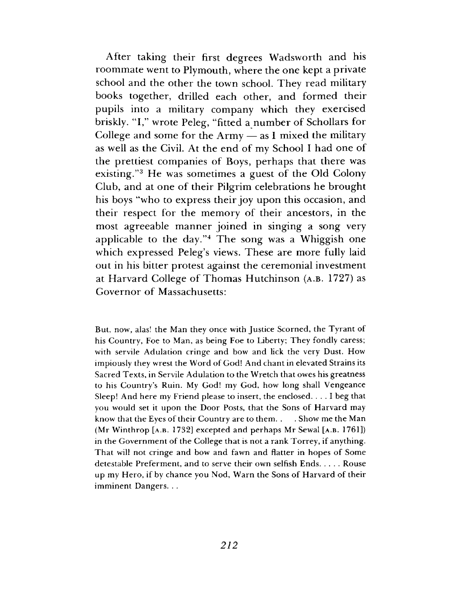After taking their first degrees Wadsworth and his roommate went to Plymouth, where the one kept a private school and the other the town school. They read military books together, drilled each other, and formed their pupils into a military company which they exercised briskly. "I," wrote Peleg, "fitted a number of Schollars for College and some for the  $A$ rmy  $-$  as I mixed the military as well as the Civil. At the end of my School I had one of the prettiest companies of Boys, perhaps that there was existing."<sup>3</sup> He was sometimes a guest of the Old Colony Club, and at one of their Pilgrim celebrations he brought his boys "who to express their joy upon this occasion, and their respect for the memory of their ancestors, in the most agreeable manner joined in singing a song very applicable to the day."<sup>4</sup> The song was a Whiggish one which expressed Peleg'<sup>s</sup> views. These are more fully laid out in his bitter protest against the ceremonial investment at Harvard College of Thomas Hutchinson (a.b. 1727) as Governor of Massachusetts:

But, now, alas! the Man they once with Justice Scorned, the Tyrant of his Country, Foe to Man, as being Foe to Liberty; They fondly caress; with servile Adulation cringe and bow and lick the very Dust. How impiously they wrest the Word of God! And chant in elevated Strains its Sacred Texts, in Servile Adulation to the Wretch that owes his greatness to his Country's Ruin. My God! my God, how long shall Vengeance Sleep! And here my Friend please to insert, the enclosed. ... <sup>I</sup> beg that you would set it upon the Door Posts, that the Sons of Harvard may know that the Eyes of their Country are to them. . . Show me the Man (Mr Winthrop [a.b. 1732] excepted and perhaps Mr Sewal [a.b. 1761]) in the Government of the College that is not a rank Torrey, if anything. That will not cringe and bow and fawn and flatter in hopes of Some detestable Preferment, and to serve their own selfish Ends..... Rouse up my Hero, if by chance you Nod, Warn the Sons of Harvard of their imminent Dangers. . .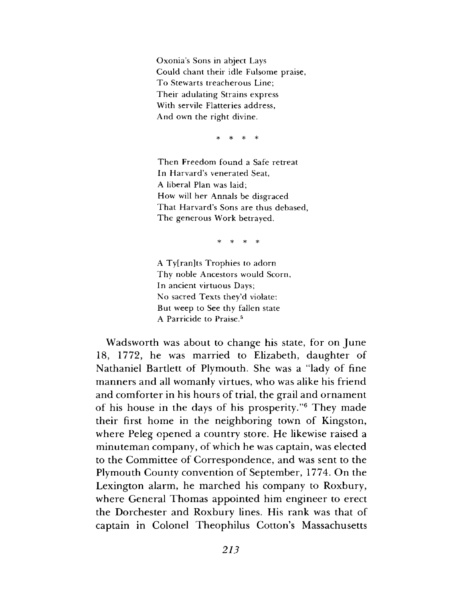Oxonia'<sup>s</sup> Sons in abject Lays Could chant their idle Fulsome praise, To Stewarts treacherous Line; Their adulating Strains express With servile Flatteries address, And own the right divine.

\* \* \* \*

Then Freedom found a Safe retreat In Harvard'<sup>s</sup> venerated Seat, A liberal Plan was laid; How will her Annals be disgraced That Harvard'<sup>s</sup> Sons are thus debased, The generous Work betrayed.

\* \* \* \*

A Ty[ran]ts Trophies to adorn Thy noble Ancestors would Scorn, In ancient virtuous Days; No sacred Texts they'd violate: But weep to See thy fallen state A Parricide to Praise.<sup>5</sup>

Wadsworth was about to change his state, for on June 18, 1772, he was married to Elizabeth, daughter of Nathaniel Bartlett of Plymouth. She was a "lady of fine manners and all womanly virtues, who was alike his friend and comforter in his hours of trial, the grail and ornament of his house in the days of his prosperity."<sup>6</sup> They made their first home in the neighboring town of Kingston, where Peleg opened a country store. He likewise raised a minuteman company, of which he was captain, was elected to the Committee of Correspondence, and was sent to the Plymouth County convention of September, 1774. On the Lexington alarm, he marched his company to Roxbury, where General Thomas appointed him engineer to erect the Dorchester and Roxbury lines. His rank was that of captain in Colonel Theophilus Cotton's Massachusetts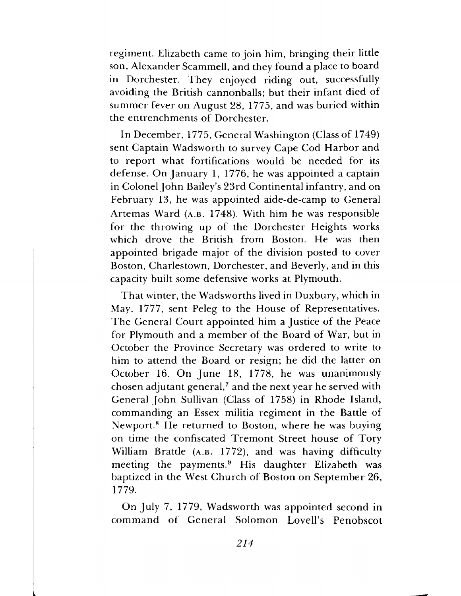regiment. Elizabeth came to join him, bringing their little son, Alexander Scammell, and they found a place to board in Dorchester. They enjoyed riding out, successfully avoiding the British cannonballs; but their infant died of summer fever on August 28, 1775, and was buried within the entrenchments of Dorchester.

In December, 1775, General Washington (Class of 1749) sent Captain Wadsworth to survey Cape Cod Harbor and to report what fortifications would be needed for its defense. On January 1, 1776, he was appointed a captain in Colonel John Bailey's 23rd Continental infantry, and on February 13, he was appointed aide-de-camp to General Artemas Ward (a.b. 1748). With him he was responsible for the throwing up of the Dorchester Heights works which drove the British from Boston. He was then appointed brigade major of the division posted to cover Boston, Charlestown, Dorchester, and Beverly, and in this capacity built some defensive works at Plymouth.

That winter, the Wadsworths lived in Duxbury, which in May, 1777, sent Peleg to the House of Representatives. The General Court appointed him a Justice of the Peace for Plymouth and a member of the Board of War, but in October the Province Secretary was ordered to write to him to attend the Board or resign; he did the latter on October 16. On June 18, 1778, he was unanimously chosen adjutant general,<sup>7</sup> and the next year he served with General John Sullivan (Class of 1758) in Rhode Island, commanding an Essex militia regiment in the Battle of Newport.<sup>8</sup> He returned to Boston, where he was buying on time the confiscated Tremont Street house of Tory William Brattle (a.b. 1772), and was having difficulty meeting the payments.<sup>9</sup> His daughter Elizabeth was baptized in the West Church of Boston on September 26, 1779.

On July 7, 1779, Wadsworth was appointed second in command of General Solomon Lovell'<sup>s</sup> Penobscot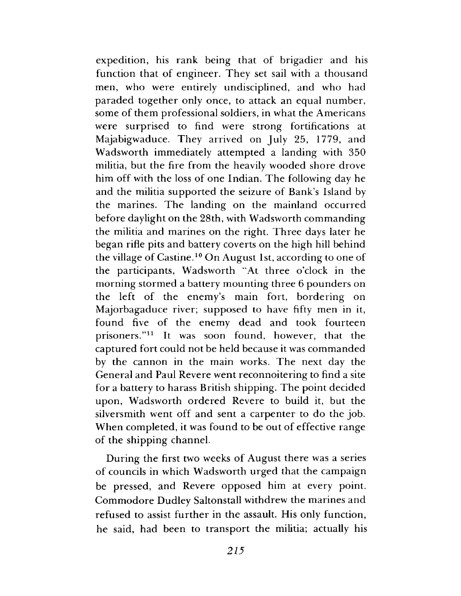expedition, his rank being that of brigadier and his function that of engineer. They set sail with a thousand men, who were entirely undisciplined, and who had paraded together only once, to attack an equal number, some of them professional soldiers, in what the Americans were surprised to find were strong fortifications at Majabigwaduce. They arrived on July 25, 1779, and Wadsworth immediately attempted a landing with 350 militia, but the fire from the heavily wooded shore drove him off with the loss of one Indian. The following day he and the militia supported the seizure of Bank'<sup>s</sup> Island by the marines. The landing on the mainland occurred before daylight on the 28th, with Wadsworth commanding the militia and marines on the right. Three days later he began rifle pits and battery coverts on the high hill behind the village of Castine.<sup>10</sup> On August 1st, according to one of the participants, Wadsworth "At three o'clock in the morning stormed a battery mounting three 6 pounders on the left of the enemy'<sup>s</sup> main fort, bordering on Majorbagaduce river; supposed to have fifty men in it, found five of the enemy dead and took fourteen prisoners."<sup>11</sup> It was soon found, however, that the captured fort could not be held because it was commanded by the cannon in the main works. The next day the General and Paul Revere went reconnoitering to find a site for a battery to harass British shipping. The point decided upon, Wadsworth ordered Revere to build it, but the silversmith went off and sent a carpenter to do the job. When completed, it was found to be out of effective range of the shipping channel.

During the first two weeks of August there was a series of councils in which Wadsworth urged that the campaign be pressed, and Revere opposed him at every point. Commodore Dudley Saltonstall withdrew the marines and refused to assist further in the assault. His only function, he said, had been to transport the militia; actually his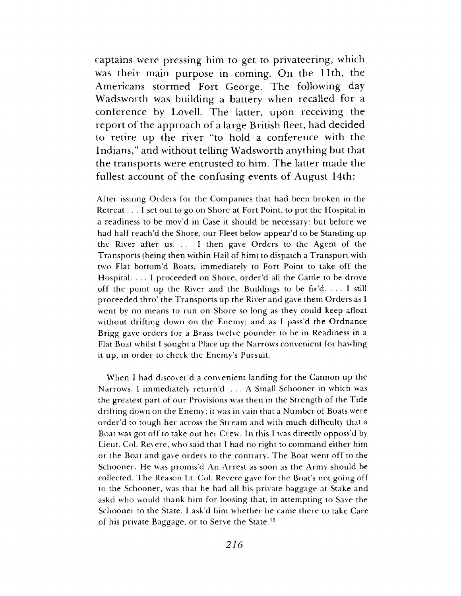captains were pressing him to get to privateering, which was their main purpose in coming. On the 11th, the Americans stormed Fort George. The following day Wadsworth was building a battery when recalled for a conference by Lovell. The latter, upon receiving the report of the approach of a large British fleet, had decided to retire up the river "to hold a conference with the Indians," and without telling Wadsworth anything but that the transports were entrusted to him. The latter made the fullest account of the confusing events of August 14th:

After issuing Orders for the Companies that had been broken in the Retreat ... <sup>I</sup> set out to go on Shore at Fort Point, to put the Hospital in a readiness to be mov'd in Case it should be necessary: but before we had half reach'd the Shore, our Fleet below appear'd to be Standing up the River after us. . . <sup>I</sup> then gave Orders to the Agent of the Transports (being then within Hail of him) to dispatch a Transport with two Flat bottom'd Boats, immediately to Fort Point to take off the Hospital. ... <sup>I</sup> proceeded on Shore, order'<sup>d</sup> all the Cattle to be drove off the point up the River and the Buildings to be fir'd. ... <sup>I</sup> still proceeded thro' the Transports up the River and gave them Orders as <sup>I</sup> went by no means to run on Shore so long as they could keep afloat without drifting down on the Enemy; and as I pass'd the Ordnance Brigg gave orders for a Brass twelve pounder to be in Readiness in a Flat Boat whilst I sought a Place up the Narrows convenient for hawling it up, in order to check the Enemy'<sup>s</sup> Pursuit.

When I had discover d a convenient landing for the Cannon up the Narrows, <sup>I</sup> immediately return'd. ... <sup>A</sup> Small Schooner in which was the greatest part of our Provisions was then in the Strength of the Tide drifting down on the Enemy; it was in vain that a Number of Boats were order'd to tough her across the Stream and with much difficulty that a Boat was got off to take out her Crew. In this <sup>I</sup> was directly opposs'd by Lieut. Col. Revere, who said that <sup>I</sup> had no right to command either him or the Boat and gave orders to the contrary. The Boat went off to the Schooner. He was promis'd An Arrest as soon as the Army should be collected. The Reason Lt. Col. Revere gave for the Boat'<sup>s</sup> not going off to the Schooner, was that he had all his private baggage at Stake and askd who would thank him for loosing that, in attempting to Saxe the Schooner to the State. <sup>I</sup> ask'd him whether he came there to take Care of his private Baggage, or to Serve the State.<sup>12</sup>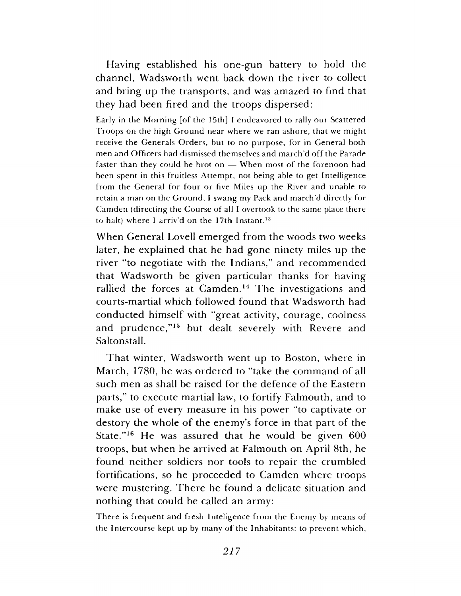Having established his one-gun battery to hold the channel, Wadsworth went back down the river to collect and bring up the transports, and was amazed to find that they had been fired and the troops dispersed:

Early in the Morning [of the 15th] <sup>I</sup> endeavored to rally our Scattered Troops on the high Ground near where we ran ashore, that we might receive the Generals Orders, but to no purpose, for in General both men and Officers had dismissed themselves and march'd off the Parade faster than they could be brot on — When most of the forenoon had been spent in this fruitless Attempt, not being able to get Intelligence from the General for four or five Miles up the River and unable to retain a man on the Ground, <sup>I</sup> swang my Pack and march'd directly for Camden (directing the Course of all <sup>I</sup> overtook to the same place there to halt) where <sup>I</sup> arriv'd on the 17th Instant.<sup>13</sup>

When General Lovell emerged from the woods two weeks later, he explained that he had gone ninety miles up the river "to negotiate with the Indians," and recommended that Wadsworth be given particular thanks for having rallied the forces at Camden.<sup>14</sup> The investigations and courts-martial which followed found that Wadsworth had conducted himself with "great activity, courage, coolness and prudence,"<sup>15</sup> but dealt severely with Revere and Saltonstall.

That winter, Wadsworth went up to Boston, where in March, 1780, he was ordered to "take the command of all such men as shall be raised for the defence of the Eastern parts," to execute martial law, to fortify Falmouth, and to make use of every measure in his power "to captivate or destory the whole of the enemy'<sup>s</sup> force in that part of the State."<sup>16</sup> He was assured that he would be given 600 troops, but when he arrived at Falmouth on April 8th, he found neither soldiers nor tools to repair the crumbled fortifications, so he proceeded to Camden where troops were mustering. There he found a delicate situation and nothing that could be called an army:

There is frequent and fresh Inteligence from the Enemy by means of the Intercourse kept up by many of the Inhabitants: to prevent which,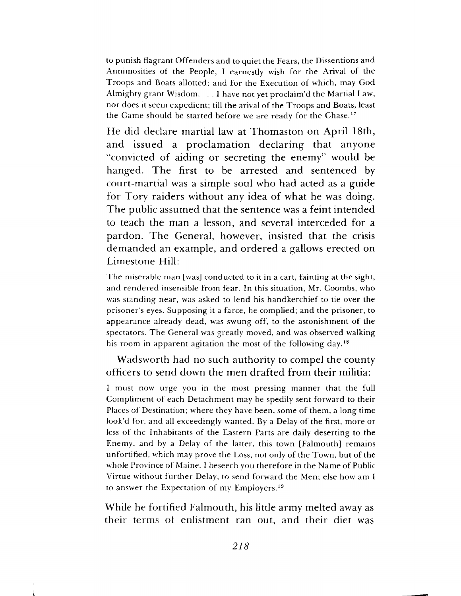to punish flagrant Offenders and to quiet the Fears, the Dissentions and Annimosities of the People, I earnestly wish for the Arival of the Troops and Boats allotted; and for the Execution of which, may God Almighty grant Wisdom. . . <sup>I</sup> have not yet proclaim'd the Martial Law, nor does it seem expedient; till the arival of the Troops and Boats, least the Game should be started before we are ready for the Chase.<sup>17</sup>

He did declare martial law at Thomaston on April 18th, and issued a proclamation declaring that anyone "convicted of aiding or secreting the enemy" would be hanged. The first to be arrested and sentenced by court-martial was a simple soul who had acted as a guide for Tory raiders without any idea of what he was doing. The public assumed that the sentence was a feint intended to teach the man a lesson, and several interceded for a pardon. The General, however, insisted that the crisis demanded an example, and ordered a gallows erected on Limestone Hill:

The miserable man [was] conducted to it in a cart, fainting at the sight, and rendered insensible from fear. In this situation, Mr. Coombs, who was standing near, was asked to lend his handkerchief to tie over the prisoner'<sup>s</sup> eyes. Supposing it a farce, he complied; and the prisoner, to appearance already dead, was swung off, to the astonishment of the spectators. The General was greatly moved, and was observed walking his room in apparent agitation the most of the following day.<sup>18</sup>

## Wadsworth had no such authority to compel the county officers to send down the men drafted from their militia:

<sup>I</sup> must now urge you in the most pressing manner that the full Compliment of each Detachment may be spedily sent forward to their Places of Destination; where they have been, some of them, a long time look'd for, and all exceedingly wanted. By a Delay of the first, more or less of the Inhabitants of the Eastern Parts are daily deserting to the Enemy, and by a Delay of the latter, this town [Falmouth] remains unfortified, which may prove the Loss, not only of the Town, but of the whole Province of Maine. I beseech you therefore in the Name of Public Virtue without further Delay, to send forward the Men; else how am I to answer the Expectation of my Employers.<sup>19</sup>

While he fortified Falmouth, his little army melted away as their terms of enlistment ran out, and their diet was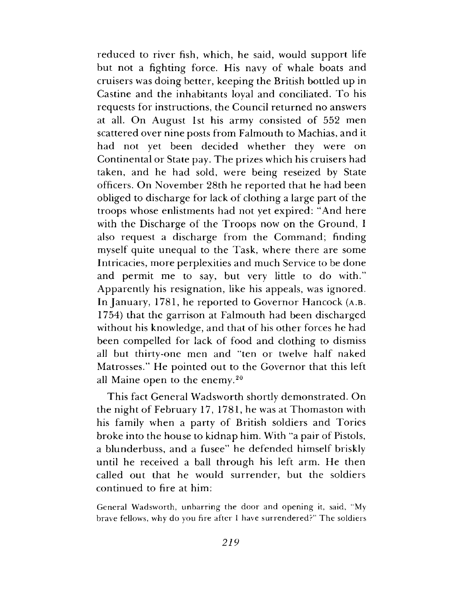reduced to river fish, which, he said, would support life but not a fighting force. His navy of whale boats and cruisers was doing better, keeping the British bottled up in Castine and the inhabitants loyal and conciliated. To his requests for instructions, the Council returned no answers at all. On August 1st his army consisted of 552 men scattered over nine posts from Falmouth to Machias, and it had not yet been decided whether they were on Continental or State pay. The prizes which his cruisers had taken, and he had sold, were being reseized by State officers. On November 28th he reported that he had been obliged to discharge for lack of clothing a large part of the troops whose enlistments had not yet expired: "And here with the Discharge of the Troops now on the Ground, <sup>I</sup> also request a discharge from the Command; finding myself quite unequal to the Task, where there are some Intricacies, more perplexities and much Service to be done and permit me to say, but very little to do with." Apparently his resignation, like his appeals, was ignored. In January, 1781, he reported to Governor Hancock (a.b. 1754) that the garrison at Falmouth had been discharged without his knowledge, and that of his other forces he had been compelled for lack of food and clothing to dismiss all but thirty-one men and "ten or twelve half naked Matrosses." He pointed out to the Governor that this left all Maine open to the enemy.<sup>20</sup>

This fact General Wadsworth shortly demonstrated. On the night of February 17, 1781, he was at Thomaston with his family when a party of British soldiers and Tories broke into the house to kidnap him. With "a pair of Pistols, a blunderbuss, and a fusee" he defended himself briskly until he received a ball through his left arm. He then called out that he would surrender, but the soldiers continued to fire at him:

General Wadsworth, unbarring the door and opening it, said, "My brave fellows, why do you fire after <sup>I</sup> have surrendered?" The soldiers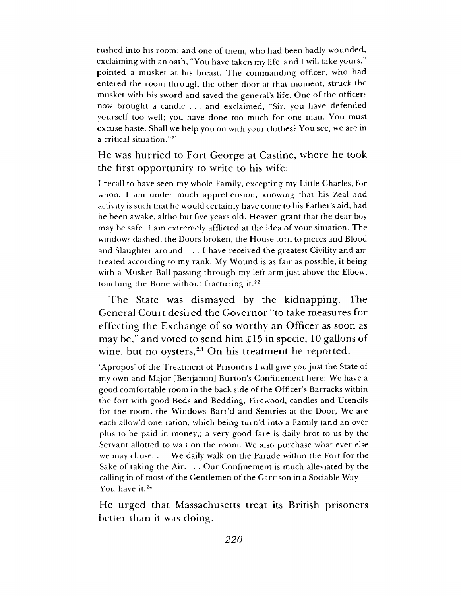rushed into his room; and one of them, who had been badly wounded, exclaiming with an oath, "You have taken my life, and I will take yours," pointed a musket at his breast. The commanding officer, who had entered the room through the other door at that moment, struck the musket with his sword and saved the general'<sup>s</sup> life. One of the officers now brought a candle . . . and exclaimed, "Sir, you have defended yourself too well; you have done too much for one man. You must excuse haste. Shall we help you on with your clothes? You see, we are in a critical situation."<sup>21</sup>

He was hurried to Fort George at Castine, where he took the first opportunity to write to his wife:

<sup>I</sup> recall to have seen my whole Family, excepting my Little Charles, for whom I am under much apprehension, knowing that his Zeal and activity is such that he would certainly have come to his Father'<sup>s</sup> aid, had he been awake, altho but five years old. Heaven grant that the dear boy may be safe. I am extremely afflicted at the idea of your situation. The windows dashed, the Doors broken, the House torn to pieces and Blood and Slaughter around. . . I have received the greatest Civility and am treated according to my rank. My Wound is as fair as possible, it being with a Musket Ball passing through my left arm just above the Elbow, touching the Bone without fracturing it.<sup>22</sup>

The State was dismayed by the kidnapping. The General Court desired the Governor "to take measures for effecting the Exchange of so worthy an Officer as soon as may be," and voted to send him £15 in specie, 10 gallons of wine, but no oysters,<sup>23</sup> On his treatment he reported:

'Apropos' of the Treatment of Prisoners I will give you just the State of my own and Major [Benjamin] Burton'<sup>s</sup> Confinement here; We have a good comfortable room in the back side of the Officer's Barracks within the fort with good Beds and Bedding, Firewood, candles and Utencils for the room, the Windows Barr'd and Sentries at the Door, We are each allow'd one ration, which being turn'd into a Family (and an over plus to be paid in money,) a very good fare is daily brot to us by the Servant allotted to wait on the room. We also purchase what ever else we may chuse. . We daily walk on the Parade within the Fort for the Sake of taking the Air. . . Our Confinement is much alleviated by the calling in of most of the Gentlemen of the Garrison in a Sociable Way — You have it.<sup>24</sup>

He urged that Massachusetts treat its British prisoners better than it was doing.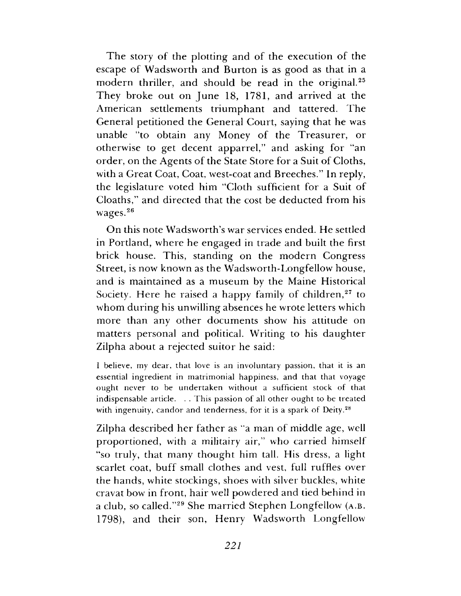The story of the plotting and of the execution of the escape of Wadsworth and Burton is as good as that in a modern thriller, and should be read in the original.<sup>25</sup> They broke out on June 18, 1781, and arrived at the American settlements triumphant and tattered. The General petitioned the General Court, saying that he was unable "to obtain any Money of the Treasurer, or otherwise to get decent apparrel," and asking for "an order, on the Agents of the State Store for a Suit of Cloths, with a Great Coat, Coat, west-coat and Breeches." In reply, the legislature voted him "Cloth sufficient for a Suit of Cloaths," and directed that the cost be deducted from his wages.<sup>26</sup>

On this note Wadsworth's war services ended. He settled in Portland, where he engaged in trade and built the first brick house. This, standing on the modern Congress Street, is now known as the Wadsworth-Longfellow house, and is maintained as a museum by the Maine Historical Society. Here he raised a happy family of children, $27$  to whom during his unwilling absences he wrote letters which more than any other documents show his attitude on matters personal and political. Writing to his daughter Zilpha about a rejected suitor he said:

<sup>I</sup> believe, my dear, that love is an involuntary passion, that it is an essential ingredient in matrimonial happiness, and that that voyage ought never to be undertaken without a sufficient stock of that indispensable article. . . This passion of all other ought to be treated with ingenuity, candor and tenderness, for it is a spark of Deity.<sup>28</sup>

Zilpha described her father as "a man of middle age, well proportioned, with a militairy air," who carried himself "so truly, that many thought him tall. His dress, a light scarlet coat, buff small clothes and vest, full ruffles over the hands, white stockings, shoes with silver buckles, white cravat bow in front, hair well powdered and tied behind in a club, so called."<sup>29</sup> She married Stephen Longfellow (a.b. 1798), and their son, Henry Wadsworth Longfellow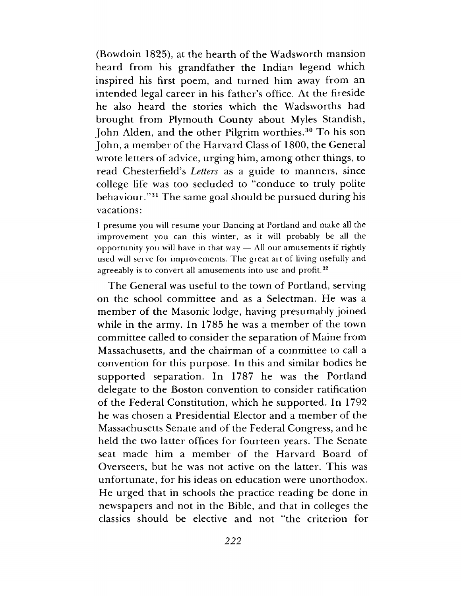(Bowdoin 1825), at the hearth of the Wadsworth mansion heard from his grandfather the Indian legend which inspired his first poem, and turned him away from an intended legal career in his father'<sup>s</sup> office. At the fireside he also heard the stories which the Wadsworths had brought from Plymouth County about Myles Standish, John Alden, and the other Pilgrim worthies.<sup>30</sup> To his son John, a member of the Harvard Class of 1800, the General wrote letters of advice, urging him, among other things, to read Chesterfield's *Letters* as a guide to manners, since college life was too secluded to "conduce to truly polite behaviour."<sup>31</sup> The same goal should be pursued during his vacations:

I presume you will resume your Dancing at Portland and make all the improvement you can this winter, as it will probably be all the opportunity you will have in that way  $-$  All our amusements if rightly used will serve for improvements. The great art of living usefully and agreeably is to convert all amusements into use and profit.<sup>32</sup>

The General was useful to the town of Portland, serving on the school committee and as a Selectman. He was a member of the Masonic lodge, having presumably joined while in the army. In 1785 he was a member of the town committee called to consider the separation of Maine from Massachusetts, and the chairman of a committee to call a convention for this purpose. In this and similar bodies he supported separation. In 1787 he was the Portland delegate to the Boston convention to consider ratification of the Federal Constitution, which he supported. In 1792 he was chosen a Presidential Elector and a member of the Massachusetts Senate and of the Federal Congress, and he held the two latter offices for fourteen years. The Senate seat made him a member of the Harvard Board of Overseers, but he was not active on the latter. This was unfortunate, for his ideas on education were unorthodox. He urged that in schools the practice reading be done in newspapers and not in the Bible, and that in colleges the classics should be elective and not "the criterion for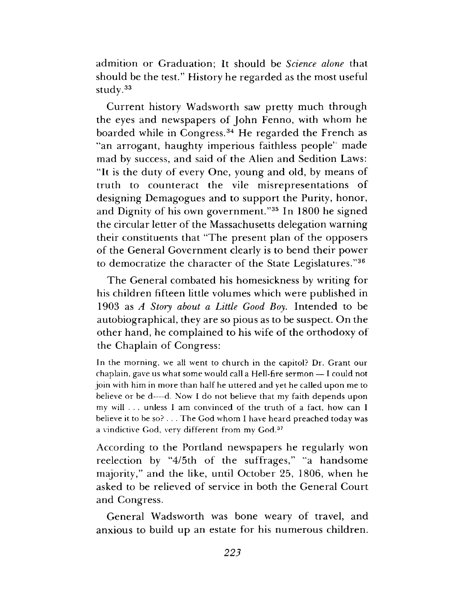admition or Graduation; It should be *Science alone* that should be the test." History he regarded as the most useful study.<sup>33</sup>

Current history Wadsworth saw pretty much through the eyes and newspapers of John Fenno, with whom he boarded while in Congress.<sup>34</sup> He regarded the French as "an arrogant, haughty imperious faithless people" made mad by success, and said of the Alien and Sedition Laws: "It is the duty of every One, young and old, by means of truth to counteract the vile misrepresentations of designing Demagogues and to support the Purity, honor, and Dignity of his own government."<sup>35</sup> In 1800 he signed the circular letter of the Massachusetts delegation warning their constituents that "The present plan of the opposers of the General Government clearly is to bend their power to democratize the character of the State Legislatures."<sup>36</sup>

The General combated his homesickness by writing for his children fifteen little volumes which were published in 1903 as *A Story about a Little Good Boy.* Intended to be autobiographical, they are so pious as to be suspect. On the other hand, he complained to his wife of the orthodoxy of the Chaplain of Congress:

In the morning, we all went to church in the capitol? Dr. Grant our chaplain, gave us what some would call a Hell-fire sermon — I could not join with him in more than half he uttered and yet he called upon me to believe or be d—d. Now I do not believe that my faith depends upon my will . . . unless I am convinced of the truth of a fact, how can I believe it to be so? . . . The God whom I have heard preached today was a vindictive God, very different from my God.<sup>37</sup>

According to the Portland newspapers he regularly won reelection by "4/5th of the suffrages," "a handsome majority," and the like, until October 25, 1806, when he asked to be relieved of service in both the General Court and Congress.

General Wadsworth was bone weary of travel, and anxious to build up an estate for his numerous children.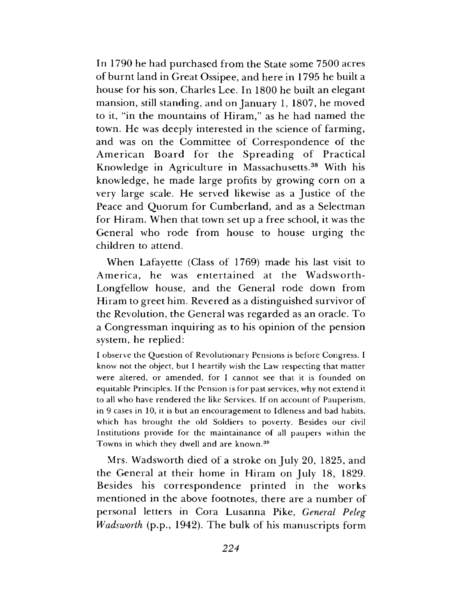In 1790 he had purchased from the State some 7500 acres of burnt land in Great Ossipee, and here in 1795 he built a house for his son, Charles Lee. In 1800 he built an elegant mansion, still standing, and on January 1, 1807, he moved to it, "in the mountains of Hiram," as he had named the town. He was deeply interested in the science of farming, and was on the Committee of Correspondence of the American Board for the Spreading of Practical Knowledge in Agriculture in Massachusetts.<sup>38</sup> With his knowledge, he made large profits by growing corn on a very large scale. He served likewise as a Justice of the Peace and Quorum for Cumberland, and as a Selectman for Hiram. When that town set up a free school, it was the General who rode from house to house urging the children to attend.

When Lafayette (Class of 1769) made his last visit to America, he was entertained at the Wadsworth-Longfellow house, and the General rode down from Hiram to greet him. Revered as a distinguished survivor of the Revolution, the General was regarded as an oracle. To a Congressman inquiring as to his opinion of the pension system, he replied:

<sup>I</sup> observe the Question of Revolutionary Pensions is before Congress. I know not the object, but I heartily wish the Law respecting that matter were altered, or amended, for <sup>I</sup> cannot see that it is founded on equitable Principles. If the Pension is for past services, why not extend it to all who have rendered the like Services. If on account of Pauperism, in 9 cases in 10, it is but an encouragement to Idleness and bad habits, which has brought the old Soldiers to poverty. Besides our civil Institutions provide for the maintainance of all paupers within the Towns in which they dwell and are known.<sup>39</sup>.

Mrs. Wadsworth died of a stroke on July 20, 1825, and the General at their home in Hiram on July 18, 1829. Besides his correspondence printed in the works mentioned in the above footnotes, there are a number of personal letters in Cora Lusanna Pike, *General Peleg Wadsworth* (p.p., 1942). The bulk of his manuscripts form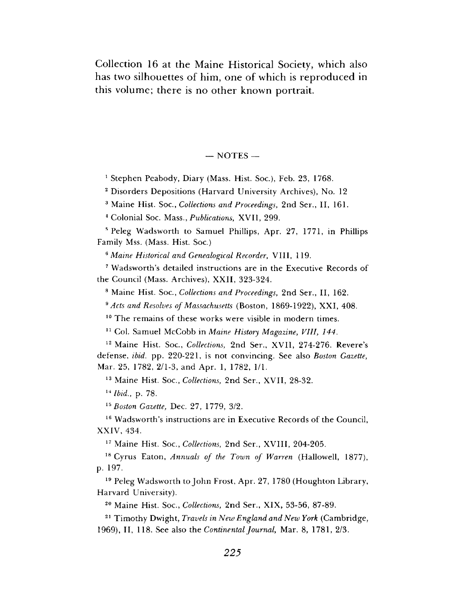Collection 16 at the Maine Historical Society, which also has two silhouettes of him, one of which is reproduced in this volume; there is no other known portrait.

#### $-$  NOTES  $-$

<sup>1</sup> Stephen Peabody, Diary (Mass. Hist. Soc.), Feb. 23, 1768.

<sup>2</sup> Disorders Depositions (Harvard University Archives), No. 12

<sup>3</sup> Maine Hist. Soc., *Collections and Proceedings,* 2nd Ser., II, 161.

<sup>4</sup> Colonial Soc. Mass., *Publications,* XVII, 299.

<sup>s</sup> Peleg Wadsworth to Samuel Phillips, Apr. 27, 1771, in Phillips Family Mss. (Mass. Hist. Soc.)

*<sup>6</sup> Maine Historical and Genealogical Recorder,* VIII, 119.

<sup>7</sup> Wadsworth's detailed instructions are in the Executive Records of the Council (Mass. Archives), XXII, 323-324.

<sup>8</sup> Maine Hist. Soc., *Collections and Proceedings,* 2nd Ser., II, 162.

*\$ Acts and Resolves of Massachusetts* (Boston, 1869-1922), XXI, 408.

<sup>10</sup> The remains of these works were visible in modern times.

<sup>11</sup> Col. Samuel McCobb in *Maine History Magazine, VIII, 144.*

<sup>12</sup> Maine Hist. Soc., *Collections,* 2nd Ser., XVII, 274-276. Revere'<sup>s</sup> defense, *ibid.* pp. 220-221, is not convincing. See also *Boston Gazette,* Mar. 25, 1782, 2/1-3, and Apr. 1, 1782, 1/1.

<sup>13</sup> Maine Hist. Soc., *Collections,* 2nd Ser., XVII, 28-32.

*<sup>14</sup> Ibid.,* p. 78.

*<sup>15</sup> Boston Gazette,* Dec. 27, 1779, 3/2.

<sup>16</sup> Wadsworth's instructions are in Executive Records of the Council, XXIV, 434.

<sup>17</sup> Maine Hist. Soc., *Collections,* 2nd Ser., XVIII, 204-205.

<sup>18</sup> Cyrus Eaton, *Annuals of the Town of Warren* (Hallowell, 1877), p. 197.

<sup>19</sup> Peleg Wadsworth to John Frost, Apr. 27, 1780 (Houghton Library, Harvard University).

<sup>20</sup> Maine Hist. Soc., *Collections,* 2nd Ser., XIX, 53-56, 87-89.

<sup>21</sup> Timothy Dwight, *Travels in New England and New York* (Cambridge, 1969), II, 118. See also the *Continental Journal,* Mar. 8, 1781, 2/3.